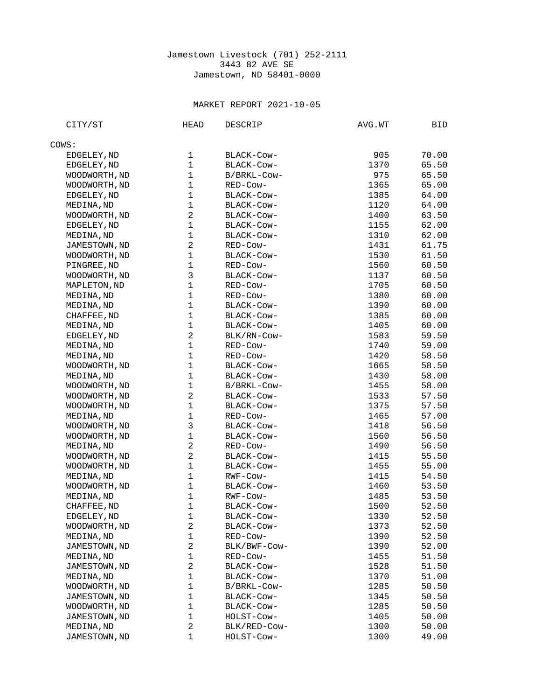## Jamestown Livestock (701) 252-2111 3443 82 AVE SE Jamestown, ND 58401-0000

## MARKET REPORT 2021-10-05

| CITY/ST       | <b>HEAD</b>             | <b>DESCRIP</b> | AVG.WT | BID   |
|---------------|-------------------------|----------------|--------|-------|
| COWS:         |                         |                |        |       |
| EDGELEY, ND   | 1                       | BLACK-COW-     | 905    | 70.00 |
| EDGELEY, ND   | $\mathbf{1}$            | BLACK-COW-     | 1370   | 65.50 |
| WOODWORTH, ND | $\mathbf 1$             | B/BRKL-Cow-    | 975    | 65.50 |
| WOODWORTH, ND | $\mathbf{1}$            | RED-Cow-       | 1365   | 65.00 |
| EDGELEY, ND   | $\mathbf 1$             | BLACK-COW-     | 1385   | 64.00 |
| MEDINA, ND    | $\mathbf{1}$            | BLACK-COW-     | 1120   | 64.00 |
| WOODWORTH, ND | $\overline{c}$          | BLACK-COW-     | 1400   | 63.50 |
| EDGELEY, ND   | $\mathbf{1}$            | BLACK-COW-     | 1155   | 62.00 |
| MEDINA, ND    | $\mathbf 1$             | BLACK-COW-     | 1310   | 62.00 |
| JAMESTOWN, ND | $\overline{c}$          | RED-Cow-       | 1431   | 61.75 |
| WOODWORTH, ND | $\mathbf{1}$            | BLACK-COW-     | 1530   | 61.50 |
| PINGREE, ND   | $\mathbf 1$             | RED-Cow-       | 1560   | 60.50 |
| WOODWORTH, ND | 3                       | BLACK-COW-     | 1137   | 60.50 |
| MAPLETON, ND  | $\mathbf 1$             | RED-Cow-       | 1705   | 60.50 |
| MEDINA, ND    | $\mathbf{1}$            | RED-Cow-       | 1380   | 60.00 |
| MEDINA, ND    | $\mathbf 1$             | BLACK-Cow-     | 1390   | 60.00 |
| CHAFFEE, ND   | $\mathbf{1}$            | BLACK-COW-     | 1385   | 60.00 |
| MEDINA, ND    | $\mathbf{1}$            | BLACK-COW-     | 1405   | 60.00 |
| EDGELEY, ND   | $\overline{c}$          | BLK/RN-COW-    | 1583   | 59.50 |
| MEDINA, ND    | $\mathbf{1}$            | RED-Cow-       | 1740   | 59.00 |
| MEDINA, ND    | $\mathbf{1}$            | RED-Cow-       | 1420   | 58.50 |
| WOODWORTH, ND | $\mathbf{1}$            | BLACK-COW-     | 1665   | 58.50 |
| MEDINA, ND    | $\mathbf 1$             | BLACK-COW-     | 1430   | 58.00 |
| WOODWORTH, ND | $\mathbf 1$             | B/BRKL-Cow-    | 1455   | 58.00 |
| WOODWORTH, ND | $\overline{c}$          | BLACK-COW-     | 1533   | 57.50 |
| WOODWORTH, ND | $\mathbf{1}$            | BLACK-COW-     | 1375   | 57.50 |
| MEDINA, ND    | $\mathbf{1}$            | RED-Cow-       | 1465   | 57.00 |
| WOODWORTH, ND | 3                       | BLACK-COW-     | 1418   | 56.50 |
| WOODWORTH, ND | $\mathbf 1$             | BLACK-COW-     | 1560   | 56.50 |
| MEDINA, ND    | $\overline{c}$          | RED-Cow-       | 1490   | 56.50 |
| WOODWORTH, ND | $\overline{c}$          | BLACK-COW-     | 1415   | 55.50 |
| WOODWORTH, ND | $\mathbf 1$             | BLACK-Cow-     | 1455   | 55.00 |
| MEDINA, ND    | $\mathbf{1}$            | RWF-Cow-       | 1415   | 54.50 |
| WOODWORTH, ND | $\mathbf{1}$            | BLACK-COW-     | 1460   | 53.50 |
| MEDINA, ND    | $\mathbf{1}$            | RWF-Cow-       | 1485   | 53.50 |
| CHAFFEE, ND   | $\mathbf{1}$            | BLACK-Cow-     | 1500   | 52.50 |
| EDGELEY, ND   | 1                       | BLACK-COW-     | 1330   | 52.50 |
| WOODWORTH, ND | 2                       | BLACK-Cow-     | 1373   | 52.50 |
| MEDINA, ND    | $\mathbf 1$             | RED-Cow-       | 1390   | 52.50 |
| JAMESTOWN, ND | $\overline{\mathbf{c}}$ | BLK/BWF-Cow-   | 1390   | 52.00 |
| MEDINA, ND    | 1                       | RED-Cow-       | 1455   | 51.50 |
| JAMESTOWN, ND | $\overline{\mathbf{c}}$ | BLACK-COW-     | 1528   | 51.50 |
| MEDINA, ND    | $\mathbf 1$             | BLACK-COW-     | 1370   | 51.00 |
| WOODWORTH, ND | 1                       | B/BRKL-Cow-    | 1285   | 50.50 |
| JAMESTOWN, ND | 1                       | BLACK-COW-     | 1345   | 50.50 |
| WOODWORTH, ND | 1                       | BLACK-COW-     | 1285   | 50.50 |
| JAMESTOWN, ND | 1                       | HOLST-Cow-     | 1405   | 50.00 |
| MEDINA, ND    | $\overline{c}$          | BLK/RED-Cow-   | 1300   | 50.00 |
| JAMESTOWN, ND | 1                       | HOLST-Cow-     | 1300   | 49.00 |